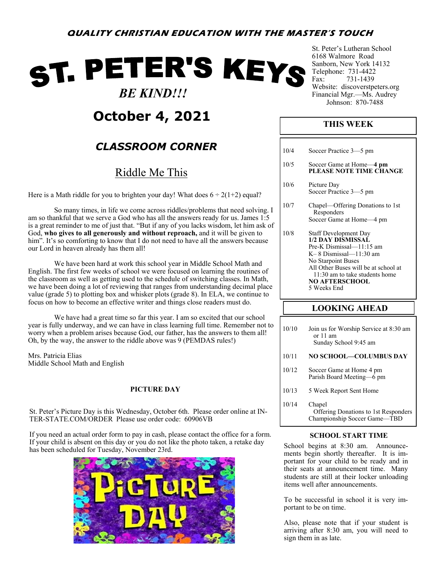# ST. PETER'S KEYS

### *BE KIND!!!*

## **October 4, 2021**

## *CLASSROOM CORNER*

## Riddle Me This

Here is a Math riddle for you to brighten your day! What does  $6 \div 2(1+2)$  equal?

So many times, in life we come across riddles/problems that need solving. I am so thankful that we serve a God who has all the answers ready for us. James 1:5 is a great reminder to me of just that. "But if any of you lacks wisdom, let him ask of God, **who gives to all generously and without reproach,** and it will be given to him". It's so comforting to know that I do not need to have all the answers because our Lord in heaven already has them all!

We have been hard at work this school year in Middle School Math and English. The first few weeks of school we were focused on learning the routines of the classroom as well as getting used to the schedule of switching classes. In Math, we have been doing a lot of reviewing that ranges from understanding decimal place value (grade 5) to plotting box and whisker plots (grade 8). In ELA, we continue to focus on how to become an effective writer and things close readers must do.

We have had a great time so far this year. I am so excited that our school year is fully underway, and we can have in class learning full time. Remember not to worry when a problem arises because God, our father, has the answers to them all! Oh, by the way, the answer to the riddle above was 9 (PEMDAS rules!)

Mrs. Patricia Elias Middle School Math and English

#### **PICTURE DAY**

St. Peter's Picture Day is this Wednesday, October 6th. Please order online at IN-TER-STATE.COM/ORDER Please use order code: 60906VB

If you need an actual order form to pay in cash, please contact the office for a form. If your child is absent on this day or you do not like the photo taken, a retake day has been scheduled for Tuesday, November 23rd.



St. Peter's Lutheran School 6168 Walmore Road Sanborn, New York 14132 Telephone: 731-4422 Fax: 731-1439 Website: discoverstpeters.org Financial Mgr.—Ms. Audrey Johnson: 870-7488

#### **THIS WEEK**

| 10/4 |                                                                                                                                                                                                                                            |
|------|--------------------------------------------------------------------------------------------------------------------------------------------------------------------------------------------------------------------------------------------|
|      | Soccer Practice 3-5 pm                                                                                                                                                                                                                     |
| 10/5 | Soccer Game at Home—4 pm<br>PLEASE NOTE TIME CHANGE                                                                                                                                                                                        |
| 10/6 | Picture Day<br>Soccer Practice 3-5 pm                                                                                                                                                                                                      |
| 10/7 | Chapel—Offering Donations to 1st<br>Responders<br>Soccer Game at Home-4 pm                                                                                                                                                                 |
| 10/8 | Staff Development Day<br>1/2 DAY DISMISSAL<br>Pre-K Dismissal-11:15 am<br>$K-8$ Dismissal—11:30 am<br>No Starpoint Buses<br>All Other Buses will be at school at<br>11:30 am to take students home<br><b>NO AFTERSCHOOL</b><br>5 Weeks End |
|      | <b>LOOKING AHEAD</b>                                                                                                                                                                                                                       |
|      |                                                                                                                                                                                                                                            |

| 10/10 | Join us for Worship Service at 8:30 am<br>or 11 am<br>Sunday School 9:45 am    |
|-------|--------------------------------------------------------------------------------|
| 10/11 | NO SCHOOL—COLUMBUS DAY                                                         |
| 10/12 | Soccer Game at Home 4 pm<br>Parish Board Meeting-6 pm                          |
| 10/13 | 5 Week Report Sent Home                                                        |
| 10/14 | Chapel<br>Offering Donations to 1st Responders<br>Championship Soccer Game-TBD |

#### **SCHOOL START TIME**

School begins at 8:30 am. Announcements begin shortly thereafter. It is important for your child to be ready and in their seats at announcement time. Many students are still at their locker unloading items well after announcements.

To be successful in school it is very important to be on time.

Also, please note that if your student is arriving after 8:30 am, you will need to sign them in as late.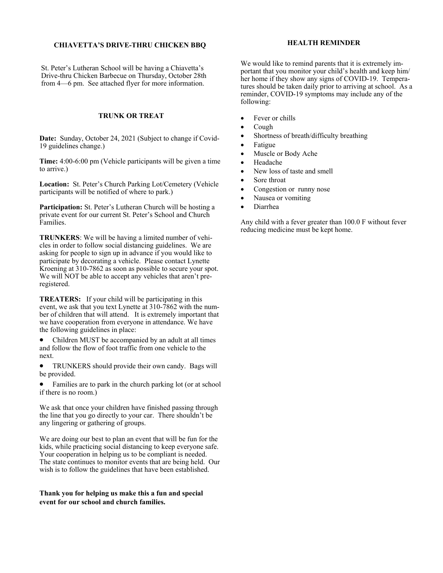#### **CHIAVETTA'S DRIVE-THRU CHICKEN BBQ**

St. Peter's Lutheran School will be having a Chiavetta's Drive-thru Chicken Barbecue on Thursday, October 28th from 4—6 pm. See attached flyer for more information.

#### **TRUNK OR TREAT**

**Date:** Sunday, October 24, 2021 (Subject to change if Covid-19 guidelines change.)

**Time:** 4:00-6:00 pm (Vehicle participants will be given a time to arrive.)

**Location:** St. Peter's Church Parking Lot/Cemetery (Vehicle participants will be notified of where to park.)

**Participation:** St. Peter's Lutheran Church will be hosting a private event for our current St. Peter's School and Church Families.

**TRUNKERS**: We will be having a limited number of vehicles in order to follow social distancing guidelines. We are asking for people to sign up in advance if you would like to participate by decorating a vehicle. Please contact Lynette Kroening at 310-7862 as soon as possible to secure your spot. We will NOT be able to accept any vehicles that aren't preregistered.

**TREATERS:** If your child will be participating in this event, we ask that you text Lynette at 310-7862 with the number of children that will attend. It is extremely important that we have cooperation from everyone in attendance. We have the following guidelines in place:

• Children MUST be accompanied by an adult at all times and follow the flow of foot traffic from one vehicle to the next.

• TRUNKERS should provide their own candy. Bags will be provided.

• Families are to park in the church parking lot (or at school if there is no room.)

We ask that once your children have finished passing through the line that you go directly to your car. There shouldn't be any lingering or gathering of groups.

We are doing our best to plan an event that will be fun for the kids, while practicing social distancing to keep everyone safe. Your cooperation in helping us to be compliant is needed. The state continues to monitor events that are being held. Our wish is to follow the guidelines that have been established.

**Thank you for helping us make this a fun and special event for our school and church families.** 

#### **HEALTH REMINDER**

We would like to remind parents that it is extremely important that you monitor your child's health and keep him/ her home if they show any signs of COVID-19. Temperatures should be taken daily prior to arriving at school. As a reminder, COVID-19 symptoms may include any of the following:

- Fever or chills
- Cough
- Shortness of breath/difficulty breathing
- Fatigue
- Muscle or Body Ache
- Headache
- New loss of taste and smell
- Sore throat
- Congestion or runny nose
- Nausea or vomiting
- Diarrhea

Any child with a fever greater than 100.0 F without fever reducing medicine must be kept home.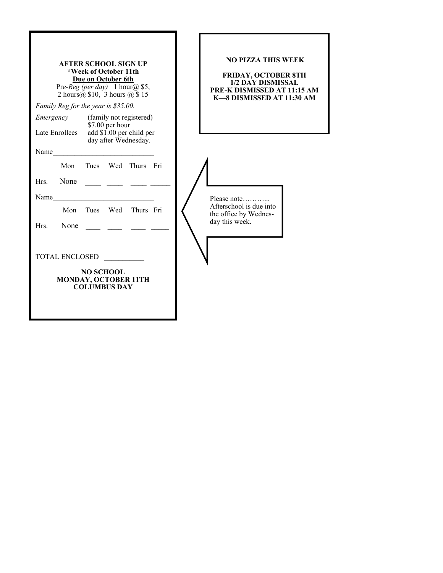| <b>AFTER SCHOOL SIGN UP</b><br>*Week of October 11th<br>Due on October 6th<br>Pre-Reg (per day) 1 hour(a) \$5,<br>2 hours $(a)$ \$10, 3 hours $(a)$ \$15<br>Family Reg for the year is \$35.00.<br>(family not registered)<br>Emergency<br>\$7.00 per hour<br>add \$1.00 per child per<br>Late Enrollees | <b>NO PIZZA THIS WEEK</b><br><b>FRIDAY, OCTOBER 8TH</b><br><b>1/2 DAY DISMISSAL</b><br>PRE-K DISMISSED AT 11:15 AM<br>K-8 DISMISSED AT 11:30 AM |
|----------------------------------------------------------------------------------------------------------------------------------------------------------------------------------------------------------------------------------------------------------------------------------------------------------|-------------------------------------------------------------------------------------------------------------------------------------------------|
| day after Wednesday.                                                                                                                                                                                                                                                                                     |                                                                                                                                                 |
| Name<br>Tues Wed Thurs Fri<br>Mon<br>None<br>Hrs.<br>Name<br>Mon<br>Wed<br>Thurs Fri<br>Tues<br>None<br>Hrs.<br><b>TOTAL ENCLOSED</b><br><b>NO SCHOOL</b><br>MONDAY, OCTOBER 11TH<br><b>COLUMBUS DAY</b>                                                                                                 | Please note<br>Afterschool is due into<br>the office by Wednes-<br>day this week.                                                               |